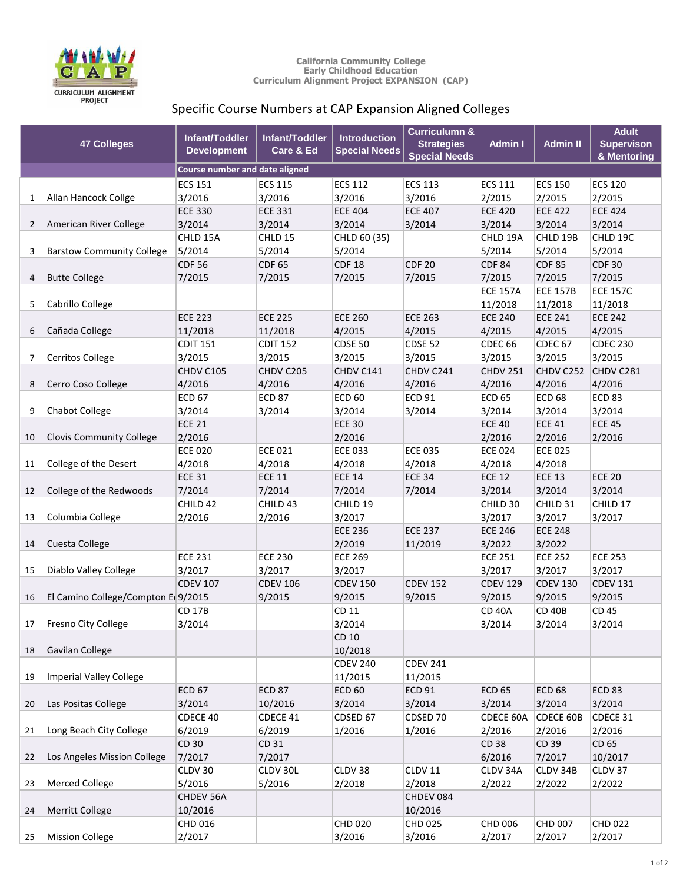

## **California Community College Early Childhood Education Curriculum Alignment Project EXPANSION (CAP)**

## Specific Course Numbers at CAP Expansion Aligned Colleges

|                | <b>47 Colleges</b>                 | Infant/Toddler<br><b>Development</b>  | Infant/Toddler<br>Care & Ed | <b>Introduction</b><br><b>Special Needs</b> | <b>Curriculumn &amp;</b><br><b>Strategies</b><br><b>Special Needs</b> | <b>Admin I</b>  | <b>Admin II</b>    | <b>Adult</b><br><b>Supervison</b><br>& Mentoring |
|----------------|------------------------------------|---------------------------------------|-----------------------------|---------------------------------------------|-----------------------------------------------------------------------|-----------------|--------------------|--------------------------------------------------|
|                |                                    | <b>Course number and date aligned</b> |                             |                                             |                                                                       |                 |                    |                                                  |
|                |                                    | <b>ECS 151</b>                        | <b>ECS 115</b>              | <b>ECS 112</b>                              | <b>ECS 113</b>                                                        | <b>ECS 111</b>  | <b>ECS 150</b>     | <b>ECS 120</b>                                   |
| 1              | Allan Hancock Collge               | 3/2016                                | 3/2016                      | 3/2016                                      | 3/2016                                                                | 2/2015          | 2/2015             | 2/2015                                           |
|                |                                    | <b>ECE 330</b>                        | <b>ECE 331</b>              | <b>ECE 404</b>                              | <b>ECE 407</b>                                                        | <b>ECE 420</b>  | <b>ECE 422</b>     | <b>ECE 424</b>                                   |
| 2              | American River College             | 3/2014                                | 3/2014                      | 3/2014                                      | 3/2014                                                                | 3/2014          | 3/2014             | 3/2014                                           |
|                |                                    | CHLD 15A                              | CHLD 15                     | CHLD 60 (35)                                |                                                                       | CHLD 19A        | CHLD 19B           | CHLD 19C                                         |
| 3              | <b>Barstow Community College</b>   | 5/2014                                | 5/2014                      | 5/2014                                      |                                                                       | 5/2014          | 5/2014             | 5/2014                                           |
|                |                                    | <b>CDF 56</b>                         | <b>CDF 65</b>               | <b>CDF 18</b>                               | <b>CDF 20</b>                                                         | <b>CDF 84</b>   | <b>CDF 85</b>      | <b>CDF 30</b>                                    |
| 4              | <b>Butte College</b>               | 7/2015                                | 7/2015                      | 7/2015                                      | 7/2015                                                                | 7/2015          | 7/2015             | 7/2015                                           |
|                |                                    |                                       |                             |                                             |                                                                       | <b>ECE 157A</b> | <b>ECE 157B</b>    | <b>ECE 157C</b>                                  |
| 5 <sup>1</sup> | Cabrillo College                   |                                       |                             |                                             |                                                                       | 11/2018         | 11/2018            | 11/2018                                          |
|                |                                    | <b>ECE 223</b>                        | <b>ECE 225</b>              | <b>ECE 260</b>                              | <b>ECE 263</b>                                                        | <b>ECE 240</b>  | <b>ECE 241</b>     | <b>ECE 242</b>                                   |
| 6              | Cañada College                     | 11/2018                               | 11/2018                     | 4/2015                                      | 4/2015                                                                | 4/2015          | 4/2015             | 4/2015                                           |
|                |                                    | <b>CDIT 151</b>                       | <b>CDIT 152</b>             | <b>CDSE 50</b>                              | <b>CDSE 52</b>                                                        | <b>CDEC 66</b>  | CDEC <sub>67</sub> | <b>CDEC 230</b>                                  |
| $\overline{7}$ | Cerritos College                   | 3/2015                                | 3/2015                      | 3/2015                                      | 3/2015                                                                | 3/2015          | 3/2015             | 3/2015                                           |
|                |                                    | CHDV C105                             | CHDV C205                   | CHDV C141                                   | CHDV C241                                                             | <b>CHDV 251</b> | CHDV C252          | CHDV C281                                        |
| 8              | Cerro Coso College                 | 4/2016                                | 4/2016                      | 4/2016                                      | 4/2016                                                                | 4/2016          | 4/2016             | 4/2016                                           |
|                |                                    | <b>ECD 67</b>                         | <b>ECD 87</b>               | <b>ECD 60</b>                               | <b>ECD 91</b>                                                         | <b>ECD 65</b>   | <b>ECD 68</b>      | <b>ECD 83</b>                                    |
| 9              | Chabot College                     | 3/2014                                | 3/2014                      | 3/2014                                      | 3/2014                                                                | 3/2014          | 3/2014             | 3/2014                                           |
|                |                                    | <b>ECE 21</b>                         |                             | <b>ECE 30</b>                               |                                                                       | <b>ECE 40</b>   | <b>ECE 41</b>      | <b>ECE 45</b>                                    |
| 10             | <b>Clovis Community College</b>    | 2/2016                                |                             | 2/2016                                      |                                                                       | 2/2016          | 2/2016             | 2/2016                                           |
|                |                                    | <b>ECE 020</b>                        | <b>ECE 021</b>              | <b>ECE 033</b>                              | <b>ECE 035</b>                                                        | <b>ECE 024</b>  | <b>ECE 025</b>     |                                                  |
| 11             | College of the Desert              | 4/2018                                | 4/2018                      | 4/2018                                      | 4/2018                                                                | 4/2018          | 4/2018             |                                                  |
|                |                                    | <b>ECE 31</b>                         | <b>ECE 11</b>               | <b>ECE 14</b>                               | <b>ECE 34</b>                                                         | <b>ECE 12</b>   | <b>ECE 13</b>      | <b>ECE 20</b>                                    |
| 12             | College of the Redwoods            | 7/2014                                | 7/2014                      | 7/2014                                      | 7/2014                                                                | 3/2014          | 3/2014             | 3/2014                                           |
|                |                                    | CHILD 42                              | CHILD 43                    | CHILD 19                                    |                                                                       | CHILD 30        | CHILD 31           | CHILD 17                                         |
| 13             | Columbia College                   | 2/2016                                | 2/2016                      | 3/2017                                      |                                                                       | 3/2017          | 3/2017             | 3/2017                                           |
|                |                                    |                                       |                             | <b>ECE 236</b>                              | <b>ECE 237</b>                                                        | <b>ECE 246</b>  | <b>ECE 248</b>     |                                                  |
| 14             | Cuesta College                     |                                       |                             | 2/2019                                      | 11/2019                                                               | 3/2022          | 3/2022             |                                                  |
|                |                                    | <b>ECE 231</b>                        | <b>ECE 230</b>              | <b>ECE 269</b>                              |                                                                       | <b>ECE 251</b>  | <b>ECE 252</b>     | <b>ECE 253</b>                                   |
| 15             | Diablo Valley College              | 3/2017                                | 3/2017                      | 3/2017                                      |                                                                       | 3/2017          | 3/2017             | 3/2017                                           |
|                |                                    | <b>CDEV 107</b>                       | <b>CDEV 106</b>             | <b>CDEV 150</b>                             | <b>CDEV 152</b>                                                       | <b>CDEV 129</b> | <b>CDEV 130</b>    | <b>CDEV 131</b>                                  |
| 16             | El Camino College/Compton E(9/2015 |                                       | 9/2015                      | 9/2015                                      | 9/2015                                                                | 9/2015          | 9/2015             | 9/2015                                           |
|                |                                    | CD 17B                                |                             | CD 11                                       |                                                                       | <b>CD 40A</b>   | <b>CD 40B</b>      | CD 45                                            |
| 17             | Fresno City College                | 3/2014                                |                             | 3/2014                                      |                                                                       | 3/2014          | 3/2014             | 3/2014                                           |
| 18             | Gavilan College                    |                                       |                             | CD 10<br>10/2018                            |                                                                       |                 |                    |                                                  |
|                |                                    |                                       |                             | <b>CDEV 240</b>                             | <b>CDEV 241</b>                                                       |                 |                    |                                                  |
| 19             | <b>Imperial Valley College</b>     |                                       |                             | 11/2015                                     | 11/2015                                                               |                 |                    |                                                  |
|                |                                    | <b>ECD 67</b>                         | <b>ECD 87</b>               | <b>ECD 60</b>                               | <b>ECD 91</b>                                                         | <b>ECD 65</b>   | <b>ECD 68</b>      | <b>ECD 83</b>                                    |
| 20             | Las Positas College                | 3/2014                                | 10/2016                     | 3/2014                                      | 3/2014                                                                | 3/2014          | 3/2014             | 3/2014                                           |
|                |                                    | CDECE 40                              | CDECE 41                    | CDSED 67                                    | CDSED 70                                                              | CDECE 60A       | CDECE 60B          | CDECE 31                                         |
| 21             | Long Beach City College            | 6/2019                                | 6/2019                      | 1/2016                                      | 1/2016                                                                | 2/2016          | 2/2016             | 2/2016                                           |
|                |                                    | CD 30                                 | CD 31                       |                                             |                                                                       | CD 38           | CD 39              | CD 65                                            |
| 22             | Los Angeles Mission College        | 7/2017                                | 7/2017                      |                                             |                                                                       | 6/2016          | 7/2017             | 10/2017                                          |
|                |                                    | CLDV 30                               | CLDV 30L                    | CLDV 38                                     | CLDV 11                                                               | CLDV 34A        | CLDV 34B           | CLDV 37                                          |
| 23             | <b>Merced College</b>              | 5/2016                                | 5/2016                      | 2/2018                                      | 2/2018                                                                | 2/2022          | 2/2022             | 2/2022                                           |
|                |                                    | CHDEV 56A                             |                             |                                             | CHDEV 084                                                             |                 |                    |                                                  |
| 24             | Merritt College                    | 10/2016                               |                             |                                             | 10/2016                                                               |                 |                    |                                                  |
|                |                                    | CHD 016                               |                             | <b>CHD 020</b>                              | CHD 025                                                               | <b>CHD 006</b>  | <b>CHD 007</b>     | <b>CHD 022</b>                                   |
| 25             | <b>Mission College</b>             | 2/2017                                |                             | 3/2016                                      | 3/2016                                                                | 2/2017          | 2/2017             | 2/2017                                           |